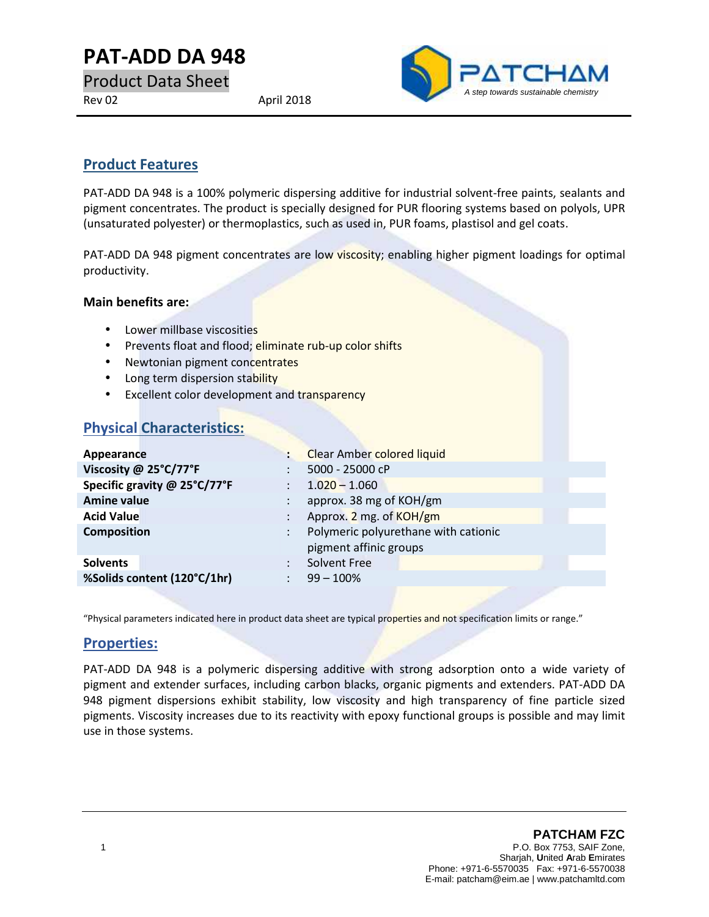# **PAT-ADD DA 948**

Product Data Sheet Rev 02 April 2018



## **Product Features**

PAT-ADD DA 948 is a 100% polymeric dispersing additive for industrial solvent-free paints, sealants and pigment concentrates. The product is specially designed for PUR flooring systems based on polyols, UPR (unsaturated polyester) or thermoplastics, such as used in, PUR foams, plastisol and gel coats.

PAT-ADD DA 948 pigment concentrates are low viscosity; enabling higher pigment loadings for optimal productivity.

#### **Main benefits are:**

- Lower millbase viscosities
- **•** Prevents float and flood; eliminate rub-up color shifts
- Newtonian pigment concentrates
- Long term dispersion stability
- **Excellent color development and transparency**

## **Physical Characteristics:**

| Appearance                   |                      | <b>Clear Amber colored liquid</b>    |
|------------------------------|----------------------|--------------------------------------|
| Viscosity @ 25°C/77°F        |                      | 5000 - 25000 cP                      |
| Specific gravity @ 25°C/77°F | ÷                    | $1.020 - 1.060$                      |
| <b>Amine value</b>           |                      | approx. 38 mg of KOH/gm              |
| <b>Acid Value</b>            |                      | Approx. 2 mg. of KOH/gm              |
| <b>Composition</b>           | $\ddot{\phantom{0}}$ | Polymeric polyurethane with cationic |
|                              |                      | pigment affinic groups               |
| <b>Solvents</b>              |                      | Solvent Free                         |
| %Solids content (120°C/1hr)  |                      | $99 - 100\%$                         |
|                              |                      |                                      |

"Physical parameters indicated here in product data sheet are typical properties and not specification limits or range."

### **Properties:**

PAT-ADD DA 948 is a polymeric dispersing additive with strong adsorption onto a wide variety of pigment and extender surfaces, including carbon blacks, organic pigments and extenders. PAT-ADD DA 948 pigment dispersions exhibit stability, low viscosity and high transparency of fine particle sized pigments. Viscosity increases due to its reactivity with epoxy functional groups is possible and may limit use in those systems.